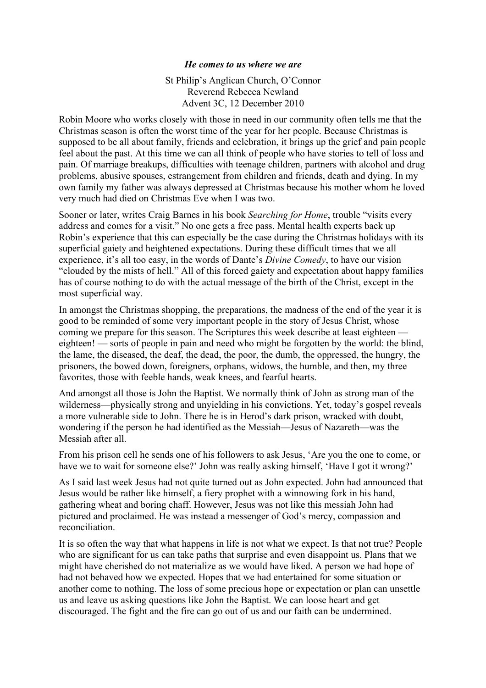## *He comes to us where we are*

St Philip's Anglican Church, O'Connor Reverend Rebecca Newland Advent 3C, 12 December 2010

Robin Moore who works closely with those in need in our community often tells me that the Christmas season is often the worst time of the year for her people. Because Christmas is supposed to be all about family, friends and celebration, it brings up the grief and pain people feel about the past. At this time we can all think of people who have stories to tell of loss and pain. Of marriage breakups, difficulties with teenage children, partners with alcohol and drug problems, abusive spouses, estrangement from children and friends, death and dying. In my own family my father was always depressed at Christmas because his mother whom he loved very much had died on Christmas Eve when I was two.

Sooner or later, writes Craig Barnes in his book *Searching for Home*, trouble "visits every address and comes for a visit." No one gets a free pass. Mental health experts back up Robin's experience that this can especially be the case during the Christmas holidays with its superficial gaiety and heightened expectations. During these difficult times that we all experience, it's all too easy, in the words of Dante's *Divine Comedy*, to have our vision "clouded by the mists of hell." All of this forced gaiety and expectation about happy families has of course nothing to do with the actual message of the birth of the Christ, except in the most superficial way.

In amongst the Christmas shopping, the preparations, the madness of the end of the year it is good to be reminded of some very important people in the story of Jesus Christ, whose coming we prepare for this season. The Scriptures this week describe at least eighteen eighteen! — sorts of people in pain and need who might be forgotten by the world: the blind, the lame, the diseased, the deaf, the dead, the poor, the dumb, the oppressed, the hungry, the prisoners, the bowed down, foreigners, orphans, widows, the humble, and then, my three favorites, those with feeble hands, weak knees, and fearful hearts.

And amongst all those is John the Baptist. We normally think of John as strong man of the wilderness—physically strong and unyielding in his convictions. Yet, today's gospel reveals a more vulnerable side to John. There he is in Herod's dark prison, wracked with doubt, wondering if the person he had identified as the Messiah—Jesus of Nazareth—was the Messiah after all.

From his prison cell he sends one of his followers to ask Jesus, 'Are you the one to come, or have we to wait for someone else?' John was really asking himself, 'Have I got it wrong?'

As I said last week Jesus had not quite turned out as John expected. John had announced that Jesus would be rather like himself, a fiery prophet with a winnowing fork in his hand, gathering wheat and boring chaff. However, Jesus was not like this messiah John had pictured and proclaimed. He was instead a messenger of God's mercy, compassion and reconciliation.

It is so often the way that what happens in life is not what we expect. Is that not true? People who are significant for us can take paths that surprise and even disappoint us. Plans that we might have cherished do not materialize as we would have liked. A person we had hope of had not behaved how we expected. Hopes that we had entertained for some situation or another come to nothing. The loss of some precious hope or expectation or plan can unsettle us and leave us asking questions like John the Baptist. We can loose heart and get discouraged. The fight and the fire can go out of us and our faith can be undermined.